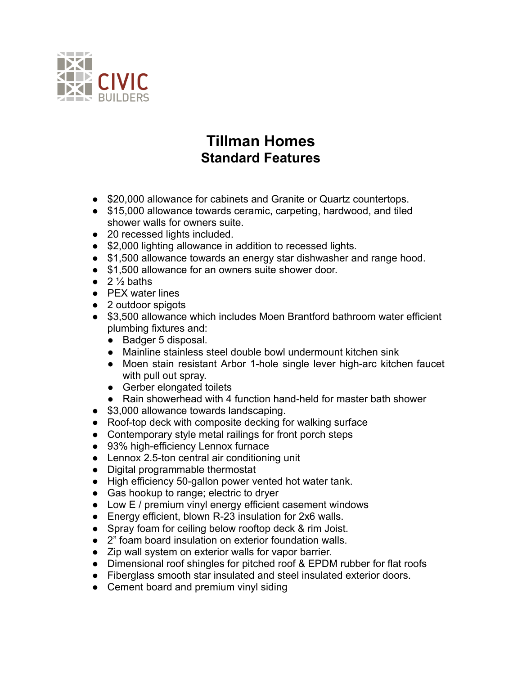

## **Tillman Homes Standard Features**

- \$20,000 allowance for cabinets and Granite or Quartz countertops.
- \$15,000 allowance towards ceramic, carpeting, hardwood, and tiled shower walls for owners suite.
- 20 recessed lights included.
- \$2,000 lighting allowance in addition to recessed lights.
- \$1,500 allowance towards an energy star dishwasher and range hood.
- \$1,500 allowance for an owners suite shower door.
- $\bullet$  2  $\frac{1}{2}$  baths
- PEX water lines
- 2 outdoor spigots
- \$3,500 allowance which includes Moen Brantford bathroom water efficient plumbing fixtures and:
	- Badger 5 disposal.
	- Mainline stainless steel double bowl undermount kitchen sink
	- Moen stain resistant Arbor 1-hole single lever high-arc kitchen faucet with pull out spray.
	- Gerber elongated toilets
	- Rain showerhead with 4 function hand-held for master bath shower
- \$3,000 allowance towards landscaping.
- Roof-top deck with composite decking for walking surface
- Contemporary style metal railings for front porch steps
- 93% high-efficiency Lennox furnace
- Lennox 2.5-ton central air conditioning unit
- Digital programmable thermostat
- High efficiency 50-gallon power vented hot water tank.
- Gas hookup to range; electric to dryer
- Low E / premium vinyl energy efficient casement windows
- Energy efficient, blown R-23 insulation for 2x6 walls.
- Spray foam for ceiling below rooftop deck & rim Joist.
- 2" foam board insulation on exterior foundation walls.
- Zip wall system on exterior walls for vapor barrier.
- Dimensional roof shingles for pitched roof & EPDM rubber for flat roofs
- Fiberglass smooth star insulated and steel insulated exterior doors.
- Cement board and premium vinyl siding